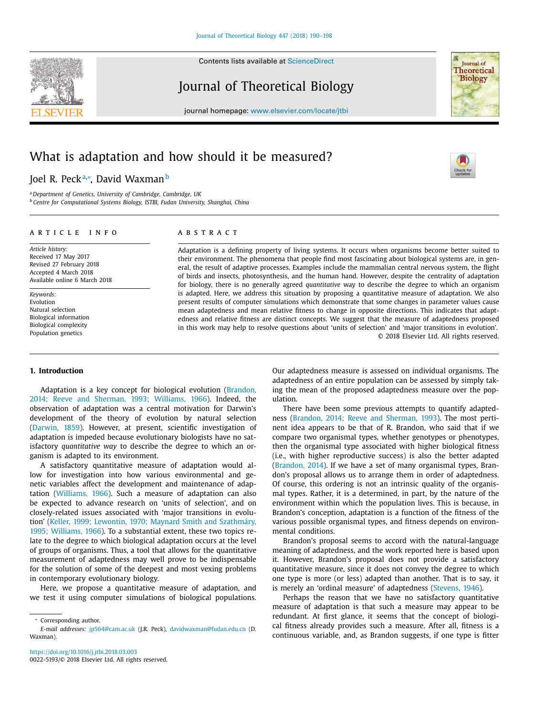Contents lists available at [ScienceDirect](http://www.ScienceDirect.com)



# Journal of Theoretical Biology



journal homepage: [www.elsevier.com/locate/jtbi](http://www.elsevier.com/locate/jtbi)

# What is adaptation and how should it be measured?

# Joel R. Peckª,\*, David Waxman<sup>b</sup>

<sup>a</sup> *Department of Genetics, University of Cambridge, Cambridge, UK* <sup>b</sup> *Centre for Computational Systems Biology, ISTBI, Fudan University, Shanghai, China*

#### a r t i c l e i n f o

*Article history:* Received 17 May 2017 Revised 27 February 2018 Accepted 4 March 2018 Available online 6 March 2018

*Keywords:* Evolution Natural selection Biological information Biological complexity Population genetics

#### **1. Introduction**

[Adaptation](#page-7-0) is a key concept for biological evolution (Brandon, 2014; Reeve and Sherman, 1993; Williams, 1966). Indeed, the observation of adaptation was a central motivation for Darwin's development of the theory of evolution by natural selection [\(Darwin,](#page-7-0) 1859). However, at present, scientific investigation of adaptation is impeded because evolutionary biologists have no satisfactory *quantitative way* to describe the degree to which an organism is adapted to its environment.

A satisfactory quantitative measure of adaptation would allow for investigation into how various environmental and genetic variables affect the development and maintenance of adaptation [\(Williams,](#page-8-0) 1966). Such a measure of adaptation can also be expected to advance research on 'units of selection', and on closely-related issues associated with 'major transitions in evolution' (Keller, 1999; Lewontin, 1970; Maynard Smith and [Szathmáry,](#page-7-0) 1995; Williams, 1966). To a substantial extent, these two topics relate to the degree to which biological adaptation occurs at the level of groups of organisms. Thus, a tool that allows for the quantitative measurement of adaptedness may well prove to be indispensable for the solution of some of the deepest and most vexing problems in contemporary evolutionary biology.

Here, we propose a quantitative measure of adaptation, and we test it using computer simulations of biological populations.

## a b s t r a c t

Adaptation is a defining property of living systems. It occurs when organisms become better suited to their environment. The phenomena that people find most fascinating about biological systems are, in general, the result of adaptive processes. Examples include the mammalian central nervous system, the flight of birds and insects, photosynthesis, and the human hand. However, despite the centrality of adaptation for biology, there is no generally agreed *quantitative* way to describe the degree to which an organism is adapted. Here, we address this situation by proposing a quantitative measure of adaptation. We also present results of computer simulations which demonstrate that some changes in parameter values cause mean adaptedness and mean relative fitness to change in opposite directions. This indicates that adaptedness and relative fitness are distinct concepts. We suggest that the measure of adaptedness proposed in this work may help to resolve questions about 'units of selection' and 'major transitions in evolution'. © 2018 Elsevier Ltd. All rights reserved.

> Our adaptedness measure is assessed on individual organisms. The adaptedness of an entire population can be assessed by simply taking the mean of the proposed adaptedness measure over the population.

> There have been some previous attempts to quantify adaptedness (Brandon, 2014; Reeve and [Sherman,](#page-7-0) 1993). The most pertinent idea appears to be that of R. Brandon, who said that if we compare two organismal types, whether genotypes or phenotypes, then the organismal type associated with higher biological fitness (i.e., with higher reproductive success) is also the better adapted [\(Brandon,](#page-7-0) 2014). If we have a set of many organismal types, Brandon's proposal allows us to arrange them in order of adaptedness. Of course, this ordering is not an intrinsic quality of the organismal types. Rather, it is a determined, in part, by the nature of the environment within which the population lives. This is because, in Brandon's conception, adaptation is a function of the fitness of the various possible organismal types, and fitness depends on environmental conditions.

> Brandon's proposal seems to accord with the natural-language meaning of adaptedness, and the work reported here is based upon it. However, Brandon's proposal does not provide a satisfactory quantitative measure, since it does not convey the degree to which one type is more (or less) adapted than another. That is to say, it is merely an 'ordinal measure' of adaptedness [\(Stevens,](#page-8-0) 1946).

> Perhaps the reason that we have no satisfactory quantitative measure of adaptation is that such a measure may appear to be redundant. At first glance, it seems that the concept of biological fitness already provides such a measure. After all, fitness is a continuous variable, and, as Brandon suggests, if one type is fitter

<sup>∗</sup> Corresponding author.

*E-mail addresses:* [jp564@cam.ac.uk](mailto:jp564@cam.ac.uk) (J.R. Peck), [davidwaxman@fudan.edu.cn](mailto:davidwaxman@fudan.edu.cn) (D. Waxman).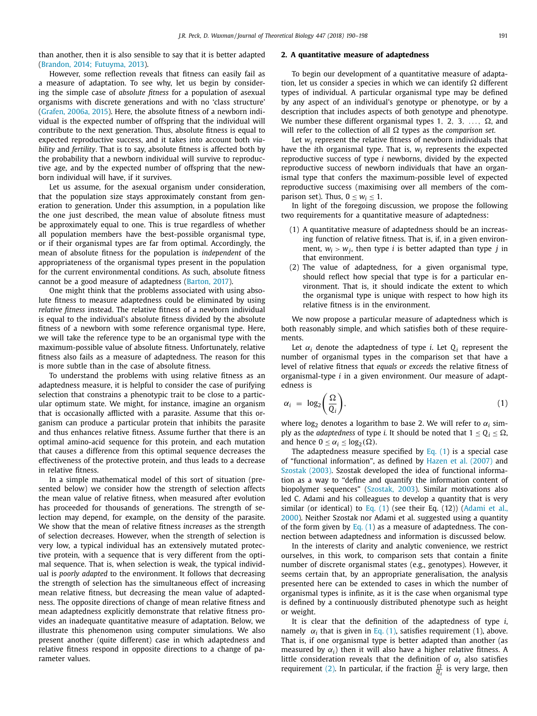<span id="page-1-0"></span>than another, then it is also sensible to say that it is better adapted (Brandon, 2014; [Futuyma,](#page-7-0) 2013).

# However, some reflection reveals that fitness can easily fail as a measure of adaptation. To see why, let us begin by considering the simple case of *absolute fitness* for a population of asexual organisms with discrete generations and with no 'class structure' [\(Grafen,](#page-7-0) 2006a, 2015). Here, the absolute fitness of a newborn individual is the expected number of offspring that the individual will contribute to the next generation. Thus, absolute fitness is equal to expected reproductive success, and it takes into account both *viability* and *fertility*. That is to say, absolute fitness is affected both by the probability that a newborn individual will survive to reproductive age, and by the expected number of offspring that the newborn individual will have, if it survives.

Let us assume, for the asexual organism under consideration, that the population size stays approximately constant from generation to generation. Under this assumption, in a population like the one just described, the mean value of absolute fitness must be approximately equal to one. This is true regardless of whether all population members have the best-possible organismal type, or if their organismal types are far from optimal. Accordingly, the mean of absolute fitness for the population is *independent* of the appropriateness of the organismal types present in the population for the current environmental conditions. As such, absolute fitness cannot be a good measure of adaptedness [\(Barton,](#page-7-0) 2017).

One might think that the problems associated with using absolute fitness to measure adaptedness could be eliminated by using *relative fitness* instead. The relative fitness of a newborn individual is equal to the individual's absolute fitness divided by the absolute fitness of a newborn with some reference organismal type. Here, we will take the reference type to be an organismal type with the maximum-possible value of absolute fitness. Unfortunately, relative fitness also fails as a measure of adaptedness. The reason for this is more subtle than in the case of absolute fitness.

To understand the problems with using relative fitness as an adaptedness measure, it is helpful to consider the case of purifying selection that constrains a phenotypic trait to be close to a particular optimum state. We might, for instance, imagine an organism that is occasionally afflicted with a parasite. Assume that this organism can produce a particular protein that inhibits the parasite and thus enhances relative fitness. Assume further that there is an optimal amino-acid sequence for this protein, and each mutation that causes a difference from this optimal sequence decreases the effectiveness of the protective protein, and thus leads to a decrease in relative fitness.

In a simple mathematical model of this sort of situation (presented below) we consider how the strength of selection affects the mean value of relative fitness, when measured after evolution has proceeded for thousands of generations. The strength of selection may depend, for example, on the density of the parasite. We show that the mean of relative fitness *increases* as the strength of selection decreases. However, when the strength of selection is very low, a typical individual has an extensively mutated protective protein, with a sequence that is very different from the optimal sequence. That is, when selection is weak, the typical individual is *poorly adapted* to the environment. It follows that decreasing the strength of selection has the simultaneous effect of increasing mean relative fitness, but decreasing the mean value of adaptedness. The opposite directions of change of mean relative fitness and mean adaptedness explicitly demonstrate that relative fitness provides an inadequate quantitative measure of adaptation. Below, we illustrate this phenomenon using computer simulations. We also present another (quite different) case in which adaptedness and relative fitness respond in opposite directions to a change of parameter values.

#### **2. A quantitative measure of adaptedness**

To begin our development of a quantitative measure of adaptation, let us consider a species in which we can identify  $\Omega$  different types of individual. A particular organismal type may be defined by any aspect of an individual's genotype or phenotype, or by a description that includes aspects of both genotype and phenotype. We number these different organismal types 1, 2, 3,  $\ldots$ ,  $\Omega$ , and will refer to the collection of all  $\Omega$  types as the *comparison set.* 

Let *wi* represent the relative fitness of newborn individuals that have the *i*th organismal type. That is, *wi* represents the expected reproductive success of type *i* newborns, divided by the expected reproductive success of newborn individuals that have an organismal type that confers the maximum-possible level of expected reproductive success (maximising over all members of the comparison set). Thus,  $0 \leq w_i \leq 1$ .

In light of the foregoing discussion, we propose the following two requirements for a quantitative measure of adaptedness:

- (1) A quantitative measure of adaptedness should be an increasing function of relative fitness. That is, if, in a given environment,  $w_i > w_j$ , then type *i* is better adapted than type *j* in that environment.
- (2) The value of adaptedness, for a given organismal type, should reflect how special that type is for a particular environment. That is, it should indicate the extent to which the organismal type is unique with respect to how high its relative fitness is in the environment.

We now propose a particular measure of adaptedness which is both reasonably simple, and which satisfies both of these requirements.

Let  $\alpha_i$  denote the adaptedness of type *i*. Let  $Q_i$  represent the number of organismal types in the comparison set that have a level of relative fitness that *equals or exceeds* the relative fitness of organismal-type *i* in a given environment. Our measure of adaptedness is

$$
\alpha_i = \log_2\left(\frac{\Omega}{Q_i}\right),\tag{1}
$$

where  $\log_2$  denotes a logarithm to base 2. We will refer to  $\alpha_i$  simply as the *adaptedness* of type *i*. It should be noted that  $1 \le Q_i \le \Omega$ , and hence  $0 \leq \alpha_i \leq \log_2(\Omega)$ .

The adaptedness measure specified by Eq.  $(1)$  is a special case of "functional information", as defined by Hazen et al. [\(2007\)](#page-7-0) and [Szostak](#page-8-0) (2003). Szostak developed the idea of functional information as a way to "define and quantify the information content of biopolymer sequences" [\(Szostak,](#page-8-0) 2003). Similar motivations also led C. Adami and his colleagues to develop a quantity that is very similar (or identical) to Eq. (1) (see their Eq. (12)) (Adami et al., 2000). Neither Szostak nor Adami et al. [suggested](#page-7-0) using a quantity of the form given by Eq.  $(1)$  as a measure of adaptedness. The connection between adaptedness and information is discussed below.

In the interests of clarity and analytic convenience, we restrict ourselves, in this work, to comparison sets that contain a finite number of discrete organismal states (e.g., genotypes). However, it seems certain that, by an appropriate generalisation, the analysis presented here can be extended to cases in which the number of organismal types is infinite, as it is the case when organismal type is defined by a continuously distributed phenotype such as height or weight.

It is clear that the definition of the adaptedness of type *i*, namely  $\alpha_i$  that is given in Eq. (1), satisfies requirement (1), above. That is, if one organismal type is better adapted than another (as measured by  $\alpha_i$ ) then it will also have a higher relative fitness. A little consideration reveals that the definition of  $\alpha_i$  also satisfies requirement [\(2\).](#page-3-0) In particular, if the fraction  $\frac{\Omega}{Q_i}$  is very large, then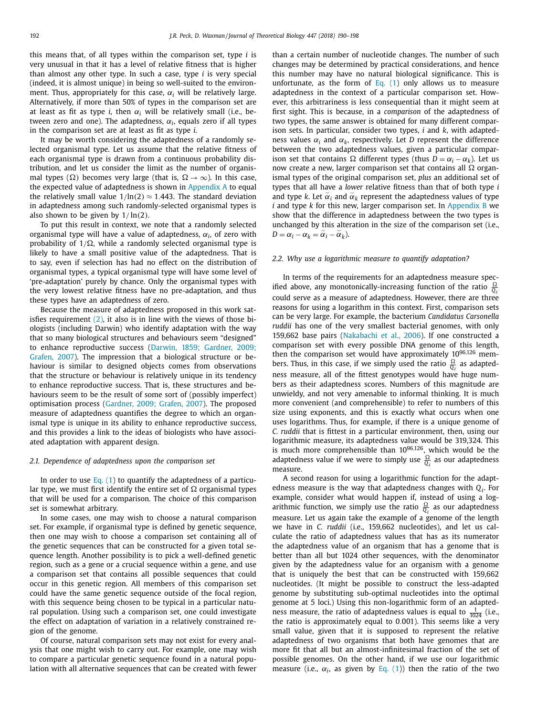this means that, of all types within the comparison set, type *i* is very unusual in that it has a level of relative fitness that is higher than almost any other type. In such a case, type *i* is very special (indeed, it is almost unique) in being so well-suited to the environment. Thus, appropriately for this case, α*<sup>i</sup>* will be relatively large. Alternatively, if more than 50% of types in the comparison set are at least as fit as type *i*, then  $\alpha_i$  will be relatively small (i.e., between zero and one). The adaptedness, α*i*, equals zero if all types in the comparison set are at least as fit as type *i*.

It may be worth considering the adaptedness of a randomly selected organismal type. Let us assume that the relative fitness of each organismal type is drawn from a continuous probability distribution, and let us consider the limit as the number of organismal types ( $\Omega$ ) becomes very large (that is,  $\Omega \rightarrow \infty$ ). In this case, the expected value of adaptedness is shown in [Appendix](#page-6-0) A to equal the relatively small value  $1/\ln(2) \approx 1.443$ . The standard deviation in adaptedness among such randomly-selected organismal types is also shown to be given by  $1/\ln(2)$ .

To put this result in context, we note that a randomly selected organismal type will have a value of adaptedness, α*i*, of zero with probability of  $1/\Omega$ , while a randomly selected organismal type is likely to have a small positive value of the adaptedness. That is to say, even if selection has had no effect on the distribution of organismal types, a typical organismal type will have some level of 'pre-adaptation' purely by chance. Only the organismal types with the very lowest relative fitness have no pre-adaptation, and thus these types have an adaptedness of zero.

Because the measure of adaptedness proposed in this work satisfies requirement  $(2)$ , it also is in line with the views of those biologists (including Darwin) who identify adaptation with the way that so many biological structures and behaviours seem "designed" to enhance [reproductive](#page-7-0) success (Darwin, 1859; Gardner, 2009; Grafen, 2007). The impression that a biological structure or behaviour is similar to designed objects comes from observations that the structure or behaviour is relatively unique in its tendency to enhance reproductive success. That is, these structures and behaviours seem to be the result of some sort of (possibly imperfect) optimisation process [\(Gardner,](#page-7-0) 2009; Grafen, 2007). The proposed measure of adaptedness quantifies the degree to which an organismal type is unique in its ability to enhance reproductive success, and this provides a link to the ideas of biologists who have associated adaptation with apparent design.

#### *2.1. Dependence of adaptedness upon the comparison set*

In order to use [Eq.](#page-1-0)  $(1)$  to quantify the adaptedness of a particular type, we must first identify the entire set of  $\Omega$  organismal types that will be used for a comparison. The choice of this comparison set is somewhat arbitrary.

In some cases, one may wish to choose a natural comparison set. For example, if organismal type is defined by genetic sequence, then one may wish to choose a comparison set containing all of the genetic sequences that can be constructed for a given total sequence length. Another possibility is to pick a well-defined genetic region, such as a gene or a crucial sequence within a gene, and use a comparison set that contains all possible sequences that could occur in this genetic region. All members of this comparison set could have the same genetic sequence outside of the focal region, with this sequence being chosen to be typical in a particular natural population. Using such a comparison set, one could investigate the effect on adaptation of variation in a relatively constrained region of the genome.

Of course, natural comparison sets may not exist for every analysis that one might wish to carry out. For example, one may wish to compare a particular genetic sequence found in a natural population with all alternative sequences that can be created with fewer than a certain number of nucleotide changes. The number of such changes may be determined by practical considerations, and hence this number may have no natural biological significance. This is unfortunate, as the form of [Eq.](#page-1-0)  $(1)$  only allows us to measure adaptedness in the context of a particular comparison set. However, this arbitrariness is less consequential than it might seem at first sight. This is because, in a *comparison* of the adaptedness of two types, the same answer is obtained for many different comparison sets. In particular, consider two types, *i* and *k*, with adaptedness values  $\alpha_i$  and  $\alpha_k$ , respectively. Let *D* represent the difference between the two adaptedness values, given a particular comparison set that contains  $\Omega$  different types (thus  $D = \alpha_i - \alpha_k$ ). Let us now create a new, larger comparison set that contains all  $\Omega$  organismal types of the original comparison set, *plus* an additional set of types that all have a *lower* relative fitness than that of both type *i* and type *k*. Let  $\alpha_i$  and  $\alpha_k$  represent the adaptedness values of type *i* and type *k* for this new, larger comparison set. In [Appendix](#page-7-0) B we show that the difference in adaptedness between the two types is unchanged by this alteration in the size of the comparison set (i.e.,  $D = \alpha_i - \alpha_k = \breve{\alpha}_i - \breve{\alpha}_k$ 

#### *2.2. Why use a logarithmic measure to quantify adaptation?*

In terms of the requirements for an adaptedness measure specified above, any monotonically-increasing function of the ratio  $\frac{\Omega}{Q}$ could serve as a measure of adaptedness. However, there are three reasons for using a logarithm in this context. First, comparison sets can be very large. For example, the bacterium *Candidatus Carsonella ruddii* has one of the very smallest bacterial genomes, with only 159,662 base pairs [\(Nakabachi](#page-8-0) et al., 2006). If one constructed a comparison set with every possible DNA genome of this length, then the comparison set would have approximately  $10^{96,126}$  members. Thus, in this case, if we simply used the ratio  $\frac{\Omega}{Q_i}$  as adaptedness measure, all of the fittest genotypes would have huge numbers as their adaptedness scores. Numbers of this magnitude are unwieldy, and not very amenable to informal thinking. It is much more convenient (and comprehensible) to refer to numbers of this size using exponents, and this is exactly what occurs when one uses logarithms. Thus, for example, if there is a unique genome of *C. ruddii* that is fittest in a particular environment, then, using our logarithmic measure, its adaptedness value would be 319,324. This is much more comprehensible than 1096,126, which would be the adaptedness value if we were to simply use  $\frac{\Omega}{Q_i}$  as our adaptedness measure.

A second reason for using a logarithmic function for the adaptedness measure is the way that adaptedness changes with *Qi*. For example, consider what would happen if, instead of using a logarithmic function, we simply use the ratio  $\frac{\Omega}{Q_i}$  as our adaptedness measure. Let us again take the example of a genome of the length we have in *C. ruddii* (i.e., 159,662 nucleotides), and let us calculate the ratio of adaptedness values that has as its numerator the adaptedness value of an organism that has a genome that is better than all but 1024 other sequences, with the denominator given by the adaptedness value for an organism with a genome that is uniquely the best that can be constructed with 159,662 nucleotides. (It might be possible to construct the less-adapted genome by substituting sub-optimal nucleotides into the optimal genome at 5 loci.) Using this non-logarithmic form of an adaptedness measure, the ratio of adaptedness values is equal to  $\frac{1}{1024}$  (i.e., the ratio is approximately equal to 0.001). This seems like a very small value, given that it is supposed to represent the relative adaptedness of two organisms that both have genomes that are more fit that all but an almost-infinitesimal fraction of the set of possible genomes. On the other hand, if we use our logarithmic measure (i.e.,  $\alpha_i$ , as given by [Eq.](#page-1-0) (1)) then the ratio of the two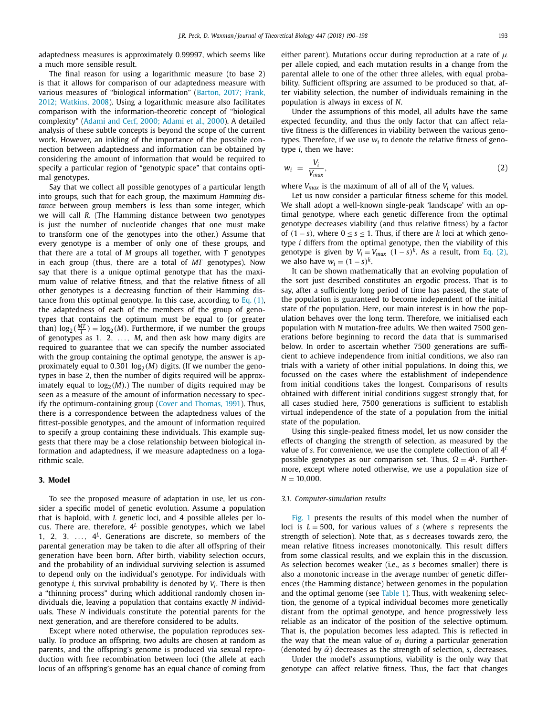<span id="page-3-0"></span>adaptedness measures is approximately 0.99997, which seems like a much more sensible result.

The final reason for using a logarithmic measure (to base 2) is that it allows for comparison of our adaptedness measure with various measures of "biological [information" \(Barton,](#page-7-0) 2017; Frank, 2012; Watkins, 2008). Using a logarithmic measure also facilitates comparison with the information-theoretic concept of "biological complexity" [\(Adami](#page-7-0) and Cerf, 2000; Adami et al., 2000). A detailed analysis of these subtle concepts is beyond the scope of the current work. However, an inkling of the importance of the possible connection between adaptedness and information can be obtained by considering the amount of information that would be required to specify a particular region of "genotypic space" that contains optimal genotypes.

Say that we collect all possible genotypes of a particular length into groups, such that for each group, the maximum *Hamming distance* between group members is less than some integer, which we will call *R*. (The Hamming distance between two genotypes is just the number of nucleotide changes that one must make to transform one of the genotypes into the other.) Assume that every genotype is a member of only one of these groups, and that there are a total of *M* groups all together, with *T* genotypes in each group (thus, there are a total of *MT* genotypes). Now say that there is a unique optimal genotype that has the maximum value of relative fitness, and that the relative fitness of all other genotypes is a decreasing function of their Hamming distance from this optimal genotype. In this case, according to Eq. [\(1\),](#page-1-0) the adaptedness of each of the members of the group of genotypes that contains the optimum must be equal to (or greater than)  $log_2(\frac{MT}{T}) = log_2(M)$ . Furthermore, if we number the groups of genotypes as 1, 2, . . ., *M*, and then ask how many digits are required to guarantee that we can specify the number associated with the group containing the optimal genotype, the answer is approximately equal to  $0.301 \log_2(M)$  digits. (If we number the genotypes in base 2, then the number of digits required will be approximately equal to  $log<sub>2</sub>(M)$ .) The number of digits required may be seen as a measure of the amount of information necessary to specify the optimum-containing group (Cover and [Thomas,](#page-7-0) 1991). Thus, there is a correspondence between the adaptedness values of the fittest-possible genotypes, and the amount of information required to specify a group containing these individuals. This example suggests that there may be a close relationship between biological information and adaptedness, if we measure adaptedness on a logarithmic scale.

#### **3. Model**

To see the proposed measure of adaptation in use, let us consider a specific model of genetic evolution. Assume a population that is haploid, with *L* genetic loci, and 4 possible alleles per locus. There are, therefore,  $4^L$  possible genotypes, which we label 1, 2, 3,  $\ldots$ ,  $4^L$ . Generations are discrete, so members of the parental generation may be taken to die after all offspring of their generation have been born. After birth, viability selection occurs, and the probability of an individual surviving selection is assumed to depend only on the individual's genotype. For individuals with genotype *i*, this survival probability is denoted by *Vi*. There is then a "thinning process" during which additional randomly chosen individuals die, leaving a population that contains exactly *N* individuals. These *N* individuals constitute the potential parents for the next generation, and are therefore considered to be adults.

Except where noted otherwise, the population reproduces sexually. To produce an offspring, two adults are chosen at random as parents, and the offspring's genome is produced via sexual reproduction with free recombination between loci (the allele at each locus of an offspring's genome has an equal chance of coming from either parent). Mutations occur during reproduction at a rate of  $\mu$ per allele copied, and each mutation results in a change from the parental allele to one of the other three alleles, with equal probability. Sufficient offspring are assumed to be produced so that, after viability selection, the number of individuals remaining in the population is always in excess of *N*.

Under the assumptions of this model, all adults have the same expected fecundity, and thus the only factor that can affect relative fitness is the differences in viability between the various genotypes. Therefore, if we use  $w_i$  to denote the relative fitness of genotype *i*, then we have:

$$
w_i = \frac{V_i}{V_{max}},\tag{2}
$$

where *Vmax* is the maximum of all of all of the *Vi* values.

Let us now consider a particular fitness scheme for this model. We shall adopt a well-known single-peak 'landscape' with an optimal genotype, where each genetic difference from the optimal genotype decreases viability (and thus relative fitness) by a factor of (1 − *s*), where 0 ≤ *s* ≤ 1. Thus, if there are *k* loci at which genotype *i* differs from the optimal genotype, then the viability of this genotype is given by  $V_i = V_{max}$   $(1 - s)^k$ . As a result, from Eq. (2), we also have  $w_i = (1 - s)^k$ .

It can be shown mathematically that an evolving population of the sort just described constitutes an ergodic process. That is to say, after a sufficiently long period of time has passed, the state of the population is guaranteed to become independent of the initial state of the population. Here, our main interest is in how the population behaves over the long term. Therefore, we initialised each population with *N* mutation-free adults. We then waited 7500 generations before beginning to record the data that is summarised below. In order to ascertain whether 7500 generations are sufficient to achieve independence from initial conditions, we also ran trials with a variety of other initial populations. In doing this, we focussed on the cases where the establishment of independence from initial conditions takes the longest. Comparisons of results obtained with different initial conditions suggest strongly that, for all cases studied here, 7500 generations is sufficient to establish virtual independence of the state of a population from the initial state of the population.

Using this single-peaked fitness model, let us now consider the effects of changing the strength of selection, as measured by the value of *s*. For convenience, we use the complete collection of all 4*<sup>L</sup>* possible genotypes as our comparison set. Thus,  $\Omega = 4^L$ . Furthermore, except where noted otherwise, we use a population size of  $N = 10,000$ .

#### *3.1. Computer-simulation results*

[Fig.](#page-4-0) 1 presents the results of this model when the number of loci is *L* = 500, for various values of *s* (where *s* represents the strength of selection). Note that, as *s* decreases towards zero, the mean relative fitness increases monotonically. This result differs from some classical results, and we explain this in the discussion. As selection becomes weaker (i.e., as *s* becomes smaller) there is also a monotonic increase in the average number of genetic differences (the Hamming distance) between genomes in the population and the optimal genome (see [Table](#page-4-0) 1). Thus, with weakening selection, the genome of a typical individual becomes more genetically distant from the optimal genotype, and hence progressively less reliable as an indicator of the position of the selective optimum. That is, the population becomes less adapted. This is reflected in the way that the mean value of  $\alpha_i$  during a particular generation (denoted by  $\bar{\alpha}$ ) decreases as the strength of selection, *s*, decreases.

Under the model's assumptions, viability is the only way that genotype can affect relative fitness. Thus, the fact that changes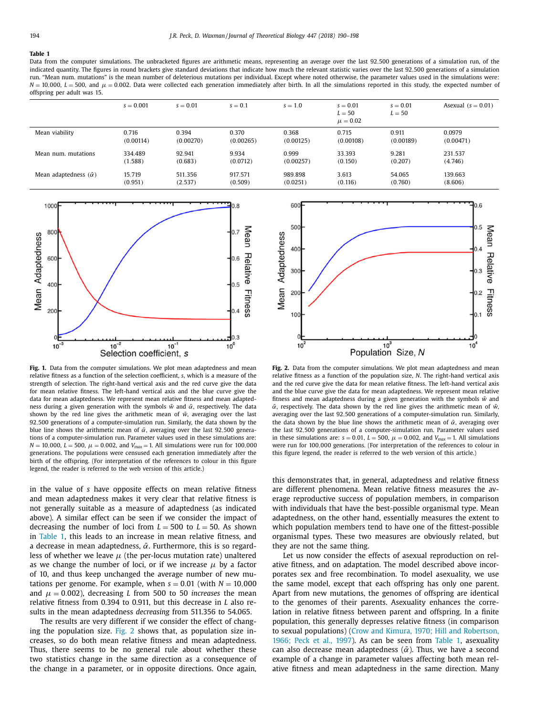#### <span id="page-4-0"></span>**Table 1**

Data from the computer simulations. The unbracketed figures are arithmetic means, representing an average over the last 92,500 generations of a simulation run, of the indicated quantity. The figures in round brackets give standard deviations that indicate how much the relevant statistic varies over the last 92,500 generations of a simulation run. "Mean num. mutations" is the mean number of deleterious mutations per individual. Except where noted otherwise, the parameter values used in the simulations were:  $N = 10,000$ ,  $L = 500$ , and  $\mu = 0.002$ . Data were collected each generation immediately after birth. In all the simulations reported in this study, the expected number of offspring per adult was 15.

|                                   | $s = 0.001$ | $s = 0.01$ | $s = 0.1$ | $s = 1.0$ | $s = 0.01$<br>$L = 50$<br>$\mu = 0.02$ | $s = 0.01$<br>$L = 50$ | Asexual $(s = 0.01)$ |
|-----------------------------------|-------------|------------|-----------|-----------|----------------------------------------|------------------------|----------------------|
| Mean viability                    | 0.716       | 0.394      | 0.370     | 0.368     | 0.715                                  | 0.911                  | 0.0979               |
|                                   | (0.00114)   | (0.00270)  | (0.00265) | (0.00125) | (0.00108)                              | (0.00189)              | (0.00471)            |
| Mean num, mutations               | 334.489     | 92.941     | 9.934     | 0.999     | 33.393                                 | 9.281                  | 231.537              |
|                                   | (1.588)     | (0.683)    | (0.0712)  | (0.00257) | (0.150)                                | (0.207)                | (4.746)              |
| Mean adaptedness $(\bar{\alpha})$ | 15.719      | 511.356    | 917.571   | 989.898   | 3.613                                  | 54.065                 | 139.663              |
|                                   | (0.951)     | (2.537)    | (0.509)   | (0.0251)  | (0.116)                                | (0.760)                | (8.606)              |



**Fig. 1.** Data from the computer simulations. We plot mean adaptedness and mean relative fitness as a function of the selection coefficient, *s*, which is a measure of the strength of selection. The right-hand vertical axis and the red curve give the data for mean relative fitness. The left-hand vertical axis and the blue curve give the data for mean adaptedness. We represent mean relative fitness and mean adaptedness during a given generation with the symbols  $\bar{w}$  and  $\bar{\alpha}$ , respectively. The data shown by the red line gives the arithmetic mean of  $\bar{w}$ , averaging over the last 92,500 generations of a computer-simulation run. Similarly, the data shown by the blue line shows the arithmetic mean of  $\bar{\alpha}$ , averaging over the last 92.500 generations of a computer-simulation run. Parameter values used in these simulations are:  $N = 10,000$ ,  $L = 500$ ,  $\mu = 0.002$ , and  $V_{max} = 1$ . All simulations were run for 100,000 generations. The populations were censused each generation immediately after the birth of the offspring. (For interpretation of the references to colour in this figure legend, the reader is referred to the web version of this article.)

in the value of *s* have opposite effects on mean relative fitness and mean adaptedness makes it very clear that relative fitness is not generally suitable as a measure of adaptedness (as indicated above). A similar effect can be seen if we consider the impact of decreasing the number of loci from  $L = 500$  to  $L = 50$ . As shown in Table 1, this leads to an increase in mean relative fitness, and a decrease in mean adaptedness,  $\bar{\alpha}$ . Furthermore, this is so regardless of whether we leave  $\mu$  (the per-locus mutation rate) unaltered as we change the number of loci, or if we increase  $\mu$  by a factor of 10, and thus keep unchanged the average number of new mutations per genome. For example, when  $s = 0.01$  (with  $N = 10,000$ and  $\mu = 0.002$ ), decreasing *L* from 500 to 50 *increases* the mean relative fitness from 0.394 to 0.911, but this decrease in *L* also results in the mean adaptedness *decreasing* from 511.356 to 54.065.

The results are very different if we consider the effect of changing the population size. Fig. 2 shows that, as population size increases, so do both mean relative fitness and mean adaptedness. Thus, there seems to be no general rule about whether these two statistics change in the same direction as a consequence of the change in a parameter, or in opposite directions. Once again,



**Fig. 2.** Data from the computer simulations. We plot mean adaptedness and mean relative fitness as a function of the population size, *N*. The right-hand vertical axis and the red curve give the data for mean relative fitness. The left-hand vertical axis and the blue curve give the data for mean adaptedness. We represent mean relative fitness and mean adaptedness during a given generation with the symbols  $\bar{w}$  and  $\bar{\alpha}$ , respectively. The data shown by the red line gives the arithmetic mean of  $\bar{w}$ , averaging over the last 92,500 generations of a computer-simulation run. Similarly, the data shown by the blue line shows the arithmetic mean of  $\bar{\alpha}$ , averaging over the last 92,500 generations of a computer-simulation run. Parameter values used in these simulations are:  $s = 0.01$ ,  $L = 500$ ,  $\mu = 0.002$ , and  $V_{max} = 1$ . All simulations were run for 100,000 generations. (For interpretation of the references to colour in this figure legend, the reader is referred to the web version of this article.)

this demonstrates that, in general, adaptedness and relative fitness are different phenomena. Mean relative fitness measures the average reproductive success of population members, in comparison with individuals that have the best-possible organismal type. Mean adaptedness, on the other hand, essentially measures the extent to which population members tend to have one of the fittest-possible organismal types. These two measures are obviously related, but they are not the same thing.

Let us now consider the effects of asexual reproduction on relative fitness, and on adaptation. The model described above incorporates sex and free recombination. To model asexuality, we use the same model, except that each offspring has only one parent. Apart from new mutations, the genomes of offspring are identical to the genomes of their parents. Asexuality enhances the correlation in relative fitness between parent and offspring. In a finite population, this generally depresses relative fitness (in comparison to sexual [populations\)](#page-7-0) (Crow and Kimura, 1970; Hill and Robertson, 1966; Peck et al., 1997). As can be seen from Table 1, asexuality can also decrease mean adaptedness ( $\bar{\alpha}$ ). Thus, we have a second example of a change in parameter values affecting both mean relative fitness and mean adaptedness in the same direction. Many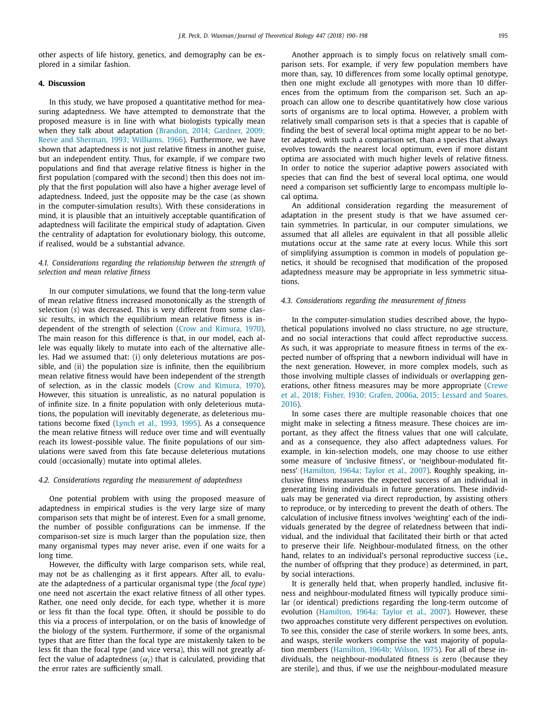other aspects of life history, genetics, and demography can be explored in a similar fashion.

#### **4. Discussion**

In this study, we have proposed a quantitative method for measuring adaptedness. We have attempted to demonstrate that the proposed measure is in line with what biologists typically mean when they talk about adaptation (Brandon, 2014; Gardner, 2009; Reeve and Sherman, 1993; Williams, 1966). [Furthermore,](#page-7-0) we have shown that adaptedness is not just relative fitness in another guise, but an independent entity. Thus, for example, if we compare two populations and find that average relative fitness is higher in the first population (compared with the second) then this does not imply that the first population will also have a higher average level of adaptedness. Indeed, just the opposite may be the case (as shown in the computer-simulation results). With these considerations in mind, it is plausible that an intuitively acceptable quantification of adaptedness will facilitate the empirical study of adaptation. Given the centrality of adaptation for evolutionary biology, this outcome, if realised, would be a substantial advance.

## *4.1. Considerations regarding the relationship between the strength of selection and mean relative fitness*

In our computer simulations, we found that the long-term value of mean relative fitness increased monotonically as the strength of selection (*s*) was decreased. This is very different from some classic results, in which the equilibrium mean relative fitness is independent of the strength of selection (Crow and [Kimura,](#page-7-0) 1970). The main reason for this difference is that, in our model, each allele was equally likely to mutate into each of the alternative alleles. Had we assumed that: (i) only deleterious mutations are possible, and (ii) the population size is infinite, then the equilibrium mean relative fitness would have been independent of the strength of selection, as in the classic models (Crow and [Kimura,](#page-7-0) 1970). However, this situation is unrealistic, as no natural population is of infinite size. In a finite population with only deleterious mutations, the population will inevitably degenerate, as deleterious mutations become fixed [\(Lynch](#page-7-0) et al., 1993, 1995). As a consequence the mean relative fitness will reduce over time and will eventually reach its lowest-possible value. The finite populations of our simulations were saved from this fate because deleterious mutations could (occasionally) mutate into optimal alleles.

#### *4.2. Considerations regarding the measurement of adaptedness*

One potential problem with using the proposed measure of adaptedness in empirical studies is the very large size of many comparison sets that might be of interest. Even for a small genome, the number of possible configurations can be immense. If the comparison-set size is much larger than the population size, then many organismal types may never arise, even if one waits for a long time.

However, the difficulty with large comparison sets, while real, may not be as challenging as it first appears. After all, to evaluate the adaptedness of a particular organismal type (the *focal type*) one need not ascertain the exact relative fitness of all other types. Rather, one need only decide, for each type, whether it is more or less fit than the focal type. Often, it should be possible to do this via a process of interpolation, or on the basis of knowledge of the biology of the system. Furthermore, if some of the organismal types that are fitter than the focal type are mistakenly taken to be less fit than the focal type (and vice versa), this will not greatly affect the value of adaptedness  $(\alpha_i)$  that is calculated, providing that the error rates are sufficiently small.

Another approach is to simply focus on relatively small comparison sets. For example, if very few population members have more than, say, 10 differences from some locally optimal genotype, then one might exclude all genotypes with more than 10 differences from the optimum from the comparison set. Such an approach can allow one to describe quantitatively how close various sorts of organisms are to local optima. However, a problem with relatively small comparison sets is that a species that is capable of finding the best of several local optima might appear to be no better adapted, with such a comparison set, than a species that always evolves towards the nearest local optimum, even if more distant optima are associated with much higher levels of relative fitness. In order to notice the superior adaptive powers associated with species that can find the best of several local optima, one would need a comparison set sufficiently large to encompass multiple local optima.

An additional consideration regarding the measurement of adaptation in the present study is that we have assumed certain symmetries. In particular, in our computer simulations, we assumed that all alleles are equivalent in that all possible allelic mutations occur at the same rate at every locus. While this sort of simplifying assumption is common in models of population genetics, it should be recognised that modification of the proposed adaptedness measure may be appropriate in less symmetric situations.

#### *4.3. Considerations regarding the measurement of fitness*

In the computer-simulation studies described above, the hypothetical populations involved no class structure, no age structure, and no social interactions that could affect reproductive success. As such, it was appropriate to measure fitness in terms of the expected number of offspring that a newborn individual will have in the next generation. However, in more complex models, such as those involving multiple classes of individuals or overlapping generations, other fitness measures may be more [appropriate](#page-7-0) (Crewe et al., 2018; Fisher, 1930; Grafen, 2006a, 2015; Lessard and Soares, 2016).

In some cases there are multiple reasonable choices that one might make in selecting a fitness measure. These choices are important, as they affect the fitness values that one will calculate, and as a consequence, they also affect adaptedness values. For example, in kin-selection models, one may choose to use either some measure of 'inclusive fitness', or 'neighbour-modulated fitness' [\(Hamilton,](#page-7-0) 1964a; Taylor et al., 2007). Roughly speaking, inclusive fitness measures the expected success of an individual in generating living individuals in future generations. These individuals may be generated via direct reproduction, by assisting others to reproduce, or by interceding to prevent the death of others. The calculation of inclusive fitness involves 'weighting' each of the individuals generated by the degree of relatedness between that individual, and the individual that facilitated their birth or that acted to preserve their life. Neighbour-modulated fitness, on the other hand, relates to an individual's personal reproductive success (i.e., the number of offspring that they produce) as determined, in part, by social interactions.

It is generally held that, when properly handled, inclusive fitness and neighbour-modulated fitness will typically produce similar (or identical) predictions regarding the long-term outcome of evolution [\(Hamilton,](#page-7-0) 1964a; Taylor et al., 2007). However, these two approaches constitute very different perspectives on evolution. To see this, consider the case of sterile workers. In some bees, ants, and wasps, sterile workers comprise the vast majority of population members [\(Hamilton,](#page-7-0) 1964b; Wilson, 1975). For all of these individuals, the neighbour-modulated fitness is zero (because they are sterile), and thus, if we use the neighbour-modulated measure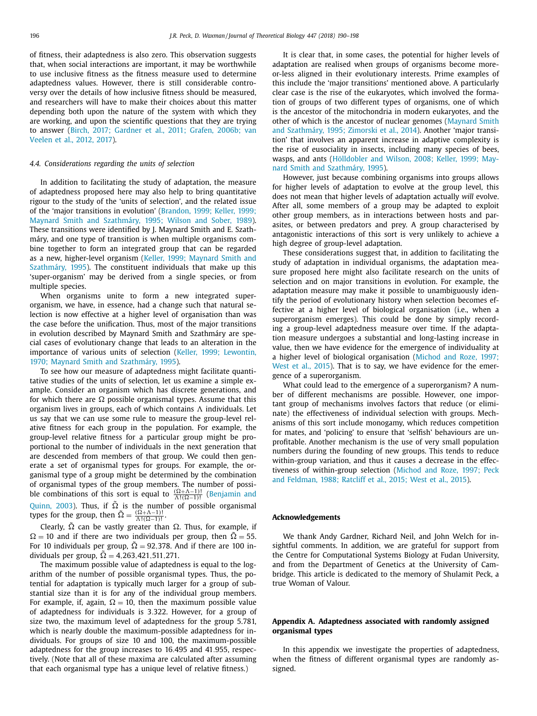<span id="page-6-0"></span>of fitness, their adaptedness is also zero. This observation suggests that, when social interactions are important, it may be worthwhile to use inclusive fitness as the fitness measure used to determine adaptedness values. However, there is still considerable controversy over the details of how inclusive fitness should be measured, and researchers will have to make their choices about this matter depending both upon the nature of the system with which they are working, and upon the scientific questions that they are trying to answer (Birch, 2017; [Gardner](#page-7-0) et al., 2011; Grafen, 2006b; van Veelen et al., 2012, 2017).

#### *4.4. Considerations regarding the units of selection*

In addition to facilitating the study of adaptation, the measure of adaptedness proposed here may also help to bring quantitative rigour to the study of the 'units of selection', and the related issue of the 'major transitions in evolution' (Brandon, 1999; Keller, 1999; Maynard Smith and [Szathmáry,](#page-7-0) 1995; Wilson and Sober, 1989). These transitions were identified by J. Maynard Smith and E. Szathmáry, and one type of transition is when multiple organisms combine together to form an integrated group that can be regarded as a new, [higher-level](#page-7-0) organism (Keller, 1999; Maynard Smith and Szathmáry, 1995). The constituent individuals that make up this 'super-organism' may be derived from a single species, or from multiple species.

When organisms unite to form a new integrated superorganism, we have, in essence, had a change such that natural selection is now effective at a higher level of organisation than was the case before the unification. Thus, most of the major transitions in evolution described by Maynard Smith and Szathmáry are special cases of evolutionary change that leads to an alteration in the [importance](#page-7-0) of various units of selection (Keller, 1999; Lewontin, 1970; Maynard Smith and Szathmáry, 1995).

To see how our measure of adaptedness might facilitate quantitative studies of the units of selection, let us examine a simple example. Consider an organism which has discrete generations, and for which there are  $\Omega$  possible organismal types. Assume that this organism lives in groups, each of which contains  $\Lambda$  individuals. Let us say that we can use some rule to measure the group-level relative fitness for each group in the population. For example, the group-level relative fitness for a particular group might be proportional to the number of individuals in the next generation that are descended from members of that group. We could then generate a set of organismal types for groups. For example, the organismal type of a group might be determined by the combination of organismal types of the group members. The number of possible [combinations](#page-7-0) of this sort is equal to  $\frac{(\Omega + \Lambda - 1)!}{\Lambda!(\Omega - 1)!}$  (Benjamin and Quinn, 2003). Thus, if  $\tilde{\Omega}$  is the number of possible organismal types for the group, then  $\tilde{\Omega} = \frac{(\Omega + \Lambda - 1)!}{\Lambda! (\Omega - 1)!}$ .

Clearly,  $\tilde{\Omega}$  can be vastly greater than  $\Omega$ . Thus, for example, if  $\Omega = 10$  and if there are two individuals per group, then  $\tilde{\Omega} = 55$ . For 10 individuals per group,  $\tilde{\Omega} = 92,378$ . And if there are 100 individuals per group,  $\tilde{\Omega} = 4,263,421,511,271.$ 

The maximum possible value of adaptedness is equal to the logarithm of the number of possible organismal types. Thus, the potential for adaptation is typically much larger for a group of substantial size than it is for any of the individual group members. For example, if, again,  $\Omega = 10$ , then the maximum possible value of adaptedness for individuals is 3.322. However, for a group of size two, the maximum level of adaptedness for the group 5.781, which is nearly double the maximum-possible adaptedness for individuals. For groups of size 10 and 100, the maximum-possible adaptedness for the group increases to 16.495 and 41.955, respectively. (Note that all of these maxima are calculated after assuming that each organismal type has a unique level of relative fitness.)

It is clear that, in some cases, the potential for higher levels of adaptation are realised when groups of organisms become moreor-less aligned in their evolutionary interests. Prime examples of this include the 'major transitions' mentioned above. A particularly clear case is the rise of the eukaryotes, which involved the formation of groups of two different types of organisms, one of which is the ancestor of the mitochondria in modern eukaryotes, and the other of which is the ancestor of nuclear genomes (Maynard Smith and [Szathmáry,](#page-7-0) 1995; Zimorski et al., 2014). Another 'major transition' that involves an apparent increase in adaptive complexity is the rise of eusociality in insects, including many species of bees, wasps, and ants [\(Hölldobler](#page-7-0) and Wilson, 2008; Keller, 1999; Maynard Smith and Szathmáry, 1995).

However, just because combining organisms into groups allows for higher levels of adaptation to evolve at the group level, this does not mean that higher levels of adaptation actually *will* evolve. After all, some members of a group may be adapted to exploit other group members, as in interactions between hosts and parasites, or between predators and prey. A group characterised by antagonistic interactions of this sort is very unlikely to achieve a high degree of group-level adaptation.

These considerations suggest that, in addition to facilitating the study of adaptation in individual organisms, the adaptation measure proposed here might also facilitate research on the units of selection and on major transitions in evolution. For example, the adaptation measure may make it possible to unambiguously identify the period of evolutionary history when selection becomes effective at a higher level of biological organisation (i.e., when a superorganism emerges). This could be done by simply recording a group-level adaptedness measure over time. If the adaptation measure undergoes a substantial and long-lasting increase in value, then we have evidence for the emergence of individuality at a higher level of biological [organisation](#page-8-0) (Michod and Roze, 1997; West et al., 2015). That is to say, we have evidence for the emergence of a superorganism.

What could lead to the emergence of a superorganism? A number of different mechanisms are possible. However, one important group of mechanisms involves factors that reduce (or eliminate) the effectiveness of individual selection with groups. Mechanisms of this sort include monogamy, which reduces competition for mates, and 'policing' to ensure that 'selfish' behaviours are unprofitable. Another mechanism is the use of very small population numbers during the founding of new groups. This tends to reduce within-group variation, and thus it causes a decrease in the effectiveness of [within-group](#page-8-0) selection (Michod and Roze, 1997; Peck and Feldman, 1988; Ratcliff et al., 2015; West et al., 2015).

#### **Acknowledgements**

We thank Andy Gardner, Richard Neil, and John Welch for insightful comments. In addition, we are grateful for support from the Centre for Computational Systems Biology at Fudan University, and from the Department of Genetics at the University of Cambridge. This article is dedicated to the memory of Shulamit Peck, a true Woman of Valour.

#### **Appendix A. Adaptedness associated with randomly assigned organismal types**

In this appendix we investigate the properties of adaptedness, when the fitness of different organismal types are randomly assigned.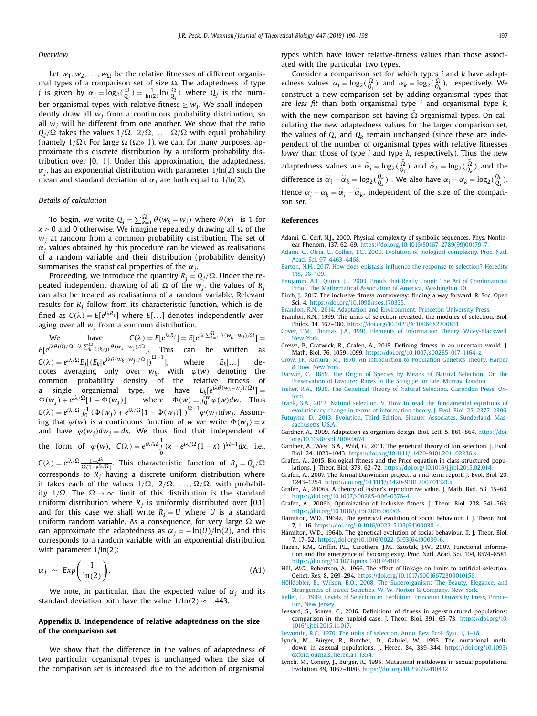#### <span id="page-7-0"></span>*Overview*

Let  $w_1, w_2, \ldots, w_{\Omega}$  be the relative fitnesses of different organismal types of a comparison set of size Ω. The adaptedness of type *j* is given by  $\alpha_j = \log_2(\frac{\Omega}{Q_j}) = \frac{1}{\ln(2)}\ln(\frac{\Omega}{Q_j})$  where  $Q_j$  is the number organismal types with relative fitness  $\geq w_i$ . We shall independently draw all *wj* from a continuous probability distribution, so all  $w_i$  will be different from one another. We show that the ratio  $\mathrm{Q}_j/\Omega$  takes the values 1/ $\Omega$ ,  $2/\Omega$ , ..., $\Omega/\Omega$  with equal probability (namely 1/ $\Omega$ ). For large  $\Omega$  ( $\Omega \gg 1$ ), we can, for many purposes, approximate this discrete distribution by a uniform probability distribution over [0, 1]. Under this approximation, the adaptedness,  $\alpha_j$ , has an exponential distribution with parameter  $1/\ln(2)$  such the mean and standard deviation of  $\alpha_i$  are both equal to  $1/\ln(2)$ .

#### *Details of calculation*

To begin, we write  $Q_j = \sum_{k=1}^{\Omega} \theta(w_k - w_j)$  where  $\theta(x)$  is 1 for  $x \ge 0$  and 0 otherwise. We imagine repeatedly drawing all  $\Omega$  of the *wj* at random from a common probability distribution. The set of  $\alpha$ <sup>*j*</sup> values obtained by this procedure can be viewed as realisations of a random variable and their distribution (probability density) summarises the statistical properties of the α*j*.

Proceeding, we introduce the quantity  $R_j = Q_j/\Omega$ . Under the repeated independent drawing of all  $\Omega$  of the *w<sub>i</sub>*, the values of *R<sub>i</sub>* can also be treated as realisations of a random variable. Relevant results for  $R_j$  follow from its characteristic function, which is defined as  $C(\lambda) = E[e^{i\lambda R_j}]$  where  $E[\ldots]$  denotes independently aver-

aging over all *w<sub>j</sub>* from a common distribution.<br>We have  $C(\lambda) = E[e^{i\lambda R_j}] = E[e^{i\lambda \sum_{k=1}^{\Omega} \theta(w_k - w_j)/\Omega}] =$ We have  $C(\lambda) = E[e^{i\lambda R_j}] = E[e^{i\lambda \sum_{k=1}^{\Omega} \theta (w_k - w_j)/\Omega}] =$  $E[e^{i\lambda\theta(0)/\Omega+i\lambda\sum_{k=1(k\neq j)}^{\Omega}\theta(w_k-w_j)/\Omega}],$  This can be written as  $C(\lambda) = e^{i\lambda/\Omega} E_j [(E_k[e^{i\lambda \theta (w_k - w_j)/\Omega}])^{\Omega - 1}]$ , where  $E_k[...]$  denotes averaging only over  $w_k$ . With  $\varphi(w)$  denoting the common probability density of the relative fitness of single organismal type, we have  $E_k[e^{i\lambda\theta(w_k-w_j)/\Omega)}] =$  $\Phi(w_j) + e^{i\lambda/\Omega} [1 - \Phi(w_j)]$  where  $\Phi(w) = \int_0^w \varphi(w) dw$ . Thus  $C(\lambda) = e^{i\lambda/\Omega} \int_0^1 (\Phi(w_j) + e^{i\lambda/\Omega} [1 - \Phi(w_j)] \int_0^{\Omega-1} \varphi(w_j) dw_j$ . Assuming that  $\varphi(w)$  is a continuous function of *w* we write  $\Phi(w_i) = x$ and have  $\varphi(w_j)dw_j = dx$ . We thus find that independent of the form of  $\varphi(w)$ ,  $C(\lambda) = e^{i\lambda/\Omega} \int_0^1 (x + e^{i\lambda/\Omega} (1 - x))^{1/2 - 1} dx$ , i.e.,  $C(\lambda) = e^{i\lambda/\Omega} \frac{1-e^{i\lambda}}{\Omega(1-e^{i\lambda/\Omega})}$ . This characteristic function of  $R_j = Q_j/\Omega$ corresponds to  $R_i$  having a discrete uniform distribution where

it takes each of the values  $1/\Omega$ ,  $2/\Omega$ , ...,  $\Omega/\Omega$ , with probability  $1/\Omega$ . The  $\Omega \to \infty$  limit of this distribution is the standard uniform distribution where  $R_i$  is uniformly distributed over [0,1] and for this case we shall write  $R_i = U$  where *U* is a standard uniform random variable. As a consequence, for very large  $\Omega$  we can approximate the adaptedness as  $\alpha_j = -\ln(U)/\ln(2)$ , and this corresponds to a random variable with an exponential distribution with parameter 1/ln(2):

$$
\alpha_j \sim \mathit{Exp}\bigg(\frac{1}{\ln(2)}\bigg). \tag{A1}
$$

We note, in particular, that the expected value of  $\alpha_j$  and its standard deviation both have the value  $1/\ln(2) \approx 1.443$ .

### **Appendix B. Independence of relative adaptedness on the size of the comparison set**

We show that the difference in the values of adaptedness of two particular organismal types is unchanged when the size of the comparison set is increased, due to the addition of organismal

types which have lower relative-fitness values than those associated with the particular two types.

Consider a comparison set for which types *i* and *k* have adaptedness values  $\alpha_i = \log_2(\frac{\Omega}{Q_i})$  and  $\alpha_k = \log_2(\frac{\Omega}{Q_k})$ , respectively. We construct a new comparison set by adding organismal types that are *less fit* than both organismal type *i* and organismal type *k*, with the new comparison set having  $\Omega$  organismal types. On calculating the new adaptedness values for the larger comparison set, the values of  $Q_i$  and  $Q_k$  remain unchanged (since these are independent of the number of organismal types with relative fitnesses *lower* than those of type *i* and type *k*, respectively). Thus the new adaptedness values are  $\alpha_i = \log_2(\frac{\Omega}{Q_i})$  and  $\alpha_k = \log_2(\frac{\Omega}{Q_k})$  and the difference is  $\alpha_i - \alpha_k = \log_2(\frac{Q_k}{Q_i})$ . We also have  $\alpha_i - \alpha_k = \log_2(\frac{Q_k}{Q_i})$ . Hence  $\alpha_i - \alpha_k = \breve{\alpha}_i - \breve{\alpha}_k$ , independent of the size of the comparison set.

#### **References**

- Adami, C., Cerf, N.J., 2000. Physical complexity of symbolic sequences. Phys. Nonlinear Phenom. 137, 62–69. [https://doi.org/10.1016/S0167-2789\(99\)00179-7.](https://doi.org/10.1016/S0167-2789(99)00179-7)
- [Adami,](http://refhub.elsevier.com/S0022-5193(18)30110-3/sbref0002) C., [Ofria,](http://refhub.elsevier.com/S0022-5193(18)30110-3/sbref0002) C., [Collier,](http://refhub.elsevier.com/S0022-5193(18)30110-3/sbref0002) T.C., 2000. Evolution of biological complexity. Proc. Natl. Acad. Sci. 97, [4463–4468.](http://refhub.elsevier.com/S0022-5193(18)30110-3/sbref0002) [Barton,](http://refhub.elsevier.com/S0022-5193(18)30110-3/sbref0003) N.H., 2017. How does epistasis influence the response to [selection?](http://refhub.elsevier.com/S0022-5193(18)30110-3/sbref0003) Heredity
- 118, 96–109.
- [Benjamin,](http://refhub.elsevier.com/S0022-5193(18)30110-3/sbref0004) A.T., [Quinn,](http://refhub.elsevier.com/S0022-5193(18)30110-3/sbref0004) J.J., 2003. Proofs that Really Count: The Art of [Combinatorial](http://refhub.elsevier.com/S0022-5193(18)30110-3/sbref0004) Proof. The Mathematical Association of America, Washington, DC.
- Birch, J., 2017. The inclusive fitness controversy: finding a way forward. R. Soc. Open Sci. 4. [https://doi.org/10.1098/rsos.170335.](https://doi.org/10.1098/rsos.170335)
- [Brandon,](http://refhub.elsevier.com/S0022-5193(18)30110-3/sbref0006) R.N., 2014. Adaptation and [Environment.](http://refhub.elsevier.com/S0022-5193(18)30110-3/sbref0006) Princeton University Press.
- Brandon, R.N., 1999. The units of selection revisited: the modules of selection. Biol. Philos. 14, 167–180. [https://doi.org/10.1023/A:1006682200831.](https://doi.org/10.1023/A:1006682200831)
- [Cover,](http://refhub.elsevier.com/S0022-5193(18)30110-3/sbref0008) T.M., [Thomas,](http://refhub.elsevier.com/S0022-5193(18)30110-3/sbref0008) J.A., 1991. Elements of Information Theory. [Wiley-Blackwell,](http://refhub.elsevier.com/S0022-5193(18)30110-3/sbref0008) New York.
- Crewe, P., Gratwick, R., Grafen, A., 2018. Defining fitness in an uncertain world. J. Math. Biol. 76, 1059–1099. [https://doi.org/10.1007/s00285-017-1164-z.](https://doi.org/10.1007/s00285-017-1164-z)
- [Crow,](http://refhub.elsevier.com/S0022-5193(18)30110-3/sbref0010) J.F., [Kimura,](http://refhub.elsevier.com/S0022-5193(18)30110-3/sbref0010) M., 1970. An [Introduction](http://refhub.elsevier.com/S0022-5193(18)30110-3/sbref0010) to Population Genetics Theory. Harper & Row, New York.
- [Darwin,](http://refhub.elsevier.com/S0022-5193(18)30110-3/sbref0011) C., 1859. The Origin of Species by Means of Natural Selection: Or, the [Preservation](http://refhub.elsevier.com/S0022-5193(18)30110-3/sbref0011) of Favoured Races in the Struggle for Life. Murray, London.
- [Fisher,](http://refhub.elsevier.com/S0022-5193(18)30110-3/sbref0012) R.A., 1930. The Genetical Theory of Natural Selection. [Clarendon](http://refhub.elsevier.com/S0022-5193(18)30110-3/sbref0012) Press, Oxford.
- [Frank,](http://refhub.elsevier.com/S0022-5193(18)30110-3/sbref0013) S.A., 2012. Natural selection. V. How to read the [fundamental](http://refhub.elsevier.com/S0022-5193(18)30110-3/sbref0013) equations of evolutionary change in terms of information theory. J. Evol. Biol. 25, 2377–2396.
- [Futuyma,](http://refhub.elsevier.com/S0022-5193(18)30110-3/sbref0014) D., 2013. Evolution, Third Edition. Sinauer Associates, [Sunderland,](http://refhub.elsevier.com/S0022-5193(18)30110-3/sbref0014) Massachusetts U.S.A.
- Gardner, A., 2009. Adaptation as organism design. Biol. Lett. 5, 861–864. https://doi. [org/10.1098/rsbl.2009.0674.](https://doi.org/10.1098/rsbl.2009.0674)
- Gardner, A., West, S.A., Wild, G., 2011. The genetical theory of kin selection. J. Evol. Biol. 24, 1020–1043. [https://doi.org/10.1111/j.1420-9101.2011.02236.x.](https://doi.org/10.1111/j.1420-9101.2011.02236.x)
- Grafen, A., 2015. Biological fitness and the Price equation in class-structured populations. J. Theor. Biol. 373, 62–72. [https://doi.org/10.1016/j.jtbi.2015.02.014.](https://doi.org/10.1016/j.jtbi.2015.02.014)
- Grafen, A., 2007. The formal Darwinism project: a mid-term report. J. Evol. Biol. 20, 1243–1254. [https://doi.org/10.1111/j.1420-9101.2007.01321.x.](https://doi.org/10.1111/j.1420-9101.2007.01321.x)
- Grafen, A., 2006a. A theory of Fisher's reproductive value. J. Math. Biol. 53, 15–60. [https://doi.org/10.1007/s00285-006-0376-4.](https://doi.org/10.1007/s00285-006-0376-4)
- Grafen, A., 2006b. Optimization of inclusive fitness. J. Theor. Biol. 238, 541–563. [https://doi.org/10.1016/j.jtbi.2005.06.009.](https://doi.org/10.1016/j.jtbi.2005.06.009)
- Hamilton, W.D., 1964a. The genetical evolution of social behaviour. I. J. Theor. Biol. 7, 1–16. [https://doi.org/10.1016/0022-5193\(64\)90038-4.](https://doi.org/10.1016/0022-5193(64)90038-4)
- Hamilton, W.D., 1964b. The genetical evolution of social behaviour. II. J. Theor. Biol. 7, 17–52. [https://doi.org/10.1016/0022-5193\(64\)90039-6.](https://doi.org/10.1016/0022-5193(64)90039-6)
- Hazen, R.M., Griffin, P.L., Carothers, J.M., Szostak, J.W., 2007. Functional information and the emergence of biocomplexity. Proc. Natl. Acad. Sci. 104, 8574–8581. [https://doi.org/10.1073/pnas.0701744104.](https://doi.org/10.1073/pnas.0701744104)
- Hill, W.G., Robertson, A., 1966. The effect of linkage on limits to artificial selection. Genet. Res. 8, 269–294. [https://doi.org/10.1017/S0016672300010156.](https://doi.org/10.1017/S0016672300010156)
- [Hölldobler,](http://refhub.elsevier.com/S0022-5193(18)30110-3/sbref0025) B., [Wilson,](http://refhub.elsevier.com/S0022-5193(18)30110-3/sbref0025) E.O., 2008. The [Superorganism:](http://refhub.elsevier.com/S0022-5193(18)30110-3/sbref0025) The Beauty, Elegance, and Strangeness of Insect Societies. W. W. Norton & Company, New York.
- [Keller,](http://refhub.elsevier.com/S0022-5193(18)30110-3/sbref0026) L., 1999. Levels of Selection in Evolution. Princeton [University](http://refhub.elsevier.com/S0022-5193(18)30110-3/sbref0026) Press, Princeton, New Jersey.
- Lessard, S., Soares, C., 2016. Definitions of fitness in age-structured populations: comparison in the haploid case. J. Theor. Biol. 391, 65–73. https://doi.org/10. [1016/j.jtbi.2015.11.017.](https://doi.org/10.1016/j.jtbi.2015.11.017)

[Lewontin,](http://refhub.elsevier.com/S0022-5193(18)30110-3/sbref0028) R.C., 1970. The units of [selection.](http://refhub.elsevier.com/S0022-5193(18)30110-3/sbref0028) Annu. Rev. Ecol. Syst. 1, 1–18.

- Lynch, M., Bürger, R., Butcher, D., Gabriel, W., 1993. The mutational meltdown in asexual populations. J. Hered. 84, 339–344. https://doi.org/10.1093/ [oxfordjournals.jhered.a111354.](https://doi.org/10.1093/oxfordjournals.jhered.a111354)
- Lynch, M., Conery, J., Burger, R., 1995. Mutational meltdowns in sexual populations. Evolution 49, 1067–1080. [https://doi.org/10.2307/2410432.](https://doi.org/10.2307/2410432)